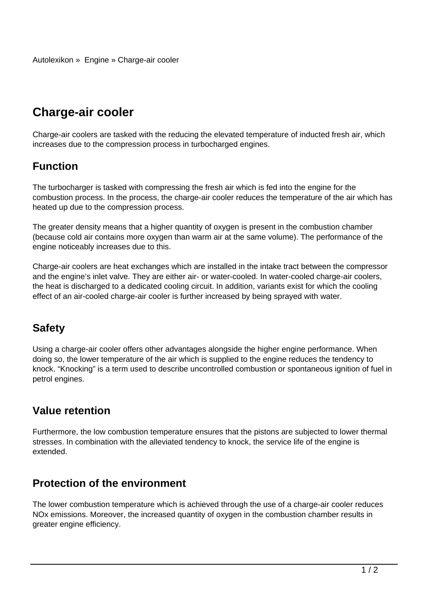# **Charge-air cooler**

Charge-air coolers are tasked with the reducing the elevated temperature of inducted fresh air, which increases due to the compression process in turbocharged engines.

## **Function**

The turbocharger is tasked with compressing the fresh air which is fed into the engine for the combustion process. In the process, the charge-air cooler reduces the temperature of the air which has heated up due to the compression process.

The greater density means that a higher quantity of oxygen is present in the combustion chamber (because cold air contains more oxygen than warm air at the same volume). The performance of the engine noticeably increases due to this.

Charge-air coolers are heat exchanges which are installed in the intake tract between the compressor and the engine's inlet valve. They are either air- or water-cooled. In water-cooled charge-air coolers, the heat is discharged to a dedicated cooling circuit. In addition, variants exist for which the cooling effect of an air-cooled charge-air cooler is further increased by being sprayed with water.

## **Safety**

Using a charge-air cooler offers other advantages alongside the higher engine performance. When doing so, the lower temperature of the air which is supplied to the engine reduces the tendency to knock. "Knocking" is a term used to describe uncontrolled combustion or spontaneous ignition of fuel in petrol engines.

## **Value retention**

Furthermore, the low combustion temperature ensures that the pistons are subjected to lower thermal stresses. In combination with the alleviated tendency to knock, the service life of the engine is extended.

#### **Protection of the environment**

The lower combustion temperature which is achieved through the use of a charge-air cooler reduces NOx emissions. Moreover, the increased quantity of oxygen in the combustion chamber results in greater engine efficiency.